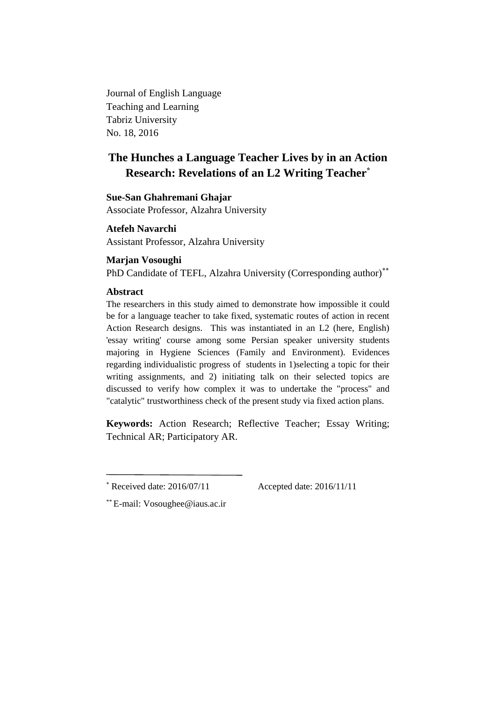Journal of English Language Teaching and Learning Tabriz University No. 18, 2016

# **The Hunches a Language Teacher Lives by in an Action Research: Revelations of an L2 Writing Teacher\***

**Sue-San Ghahremani Ghajar**

Associate Professor, Alzahra University

**Atefeh Navarchi** Assistant Professor, Alzahra University

## **Marjan Vosoughi**

PhD Candidate of TEFL, Alzahra University (Corresponding author)<sup>\*\*</sup>

## **Abstract**

The researchers in this study aimed to demonstrate how impossible it could be for a language teacher to take fixed, systematic routes of action in recent Action Research designs. This was instantiated in an L2 (here, English) 'essay writing' course among some Persian speaker university students majoring in Hygiene Sciences (Family and Environment). Evidences regarding individualistic progress of students in 1)selecting a topic for their writing assignments, and 2) initiating talk on their selected topics are discussed to verify how complex it was to undertake the "process" and "catalytic" trustworthiness check of the present study via fixed action plans.

**Keywords:** Action Research; Reflective Teacher; Essay Writing; Technical AR; Participatory AR.

 $*$  Received date: 2016/07/11 Accepted date: 2016/11/11

<sup>\*\*</sup> E-mail: [Vosoughee@iaus.ac](mailto:Vosoughee@iaus.a).ir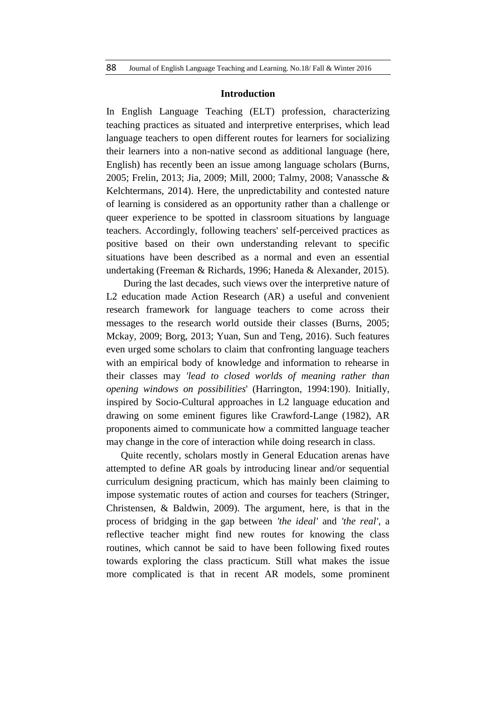#### **Introduction**

In English Language Teaching (ELT) profession, characterizing teaching practices as situated and interpretive enterprises, which lead language teachers to open different routes for learners for socializing their learners into a non-native second as additional language (here, English) has recently been an issue among language scholars (Burns, 2005; Frelin, 2013; Jia, 2009; Mill, 2000; Talmy, 2008; Vanassche & Kelchtermans, 2014). Here, the unpredictability and contested nature of learning is considered as an opportunity rather than a challenge or queer experience to be spotted in classroom situations by language teachers. Accordingly, following teachers' self-perceived practices as positive based on their own understanding relevant to specific situations have been described as a normal and even an essential undertaking (Freeman & Richards, 1996; Haneda & Alexander, 2015).

During the last decades, such views over the interpretive nature of L2 education made Action Research (AR) a useful and convenient research framework for language teachers to come across their messages to the research world outside their classes (Burns, 2005; Mckay, 2009; Borg, 2013; Yuan, Sun and Teng, 2016). Such features even urged some scholars to claim that confronting language teachers with an empirical body of knowledge and information to rehearse in their classes may *'lead to closed worlds of meaning rather than opening windows on possibilities*' (Harrington, 1994:190). Initially, inspired by Socio-Cultural approaches in L2 language education and drawing on some eminent figures like Crawford-Lange (1982), AR proponents aimed to communicate how a committed language teacher may change in the core of interaction while doing research in class.

Quite recently, scholars mostly in General Education arenas have attempted to define AR goals by introducing linear and/or sequential curriculum designing practicum, which has mainly been claiming to impose systematic routes of action and courses for teachers (Stringer, Christensen, & Baldwin, 2009). The argument, here, is that in the process of bridging in the gap between *'the ideal'* and *'the real'*, a reflective teacher might find new routes for knowing the class routines, which cannot be said to have been following fixed routes towards exploring the class practicum. Still what makes the issue more complicated is that in recent AR models, some prominent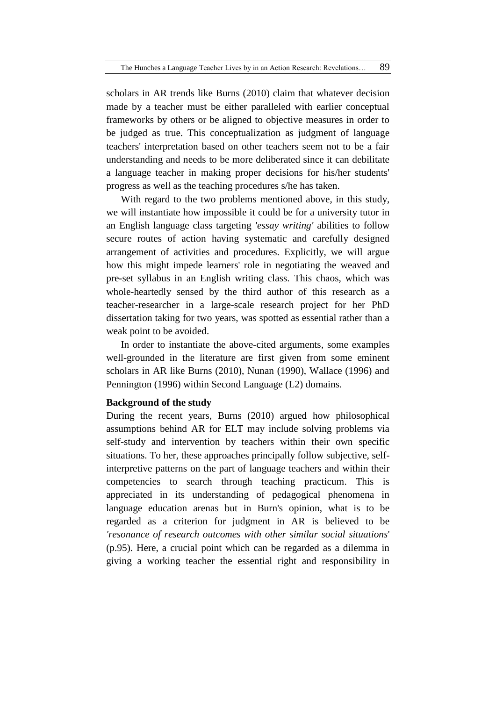scholars in AR trends like Burns (2010) claim that whatever decision made by a teacher must be either paralleled with earlier conceptual frameworks by others or be aligned to objective measures in order to be judged as true. This conceptualization as judgment of language teachers' interpretation based on other teachers seem not to be a fair understanding and needs to be more deliberated since it can debilitate a language teacher in making proper decisions for his/her students' progress as well as the teaching procedures s/he has taken.

With regard to the two problems mentioned above, in this study, we will instantiate how impossible it could be for a university tutor in an English language class targeting *'essay writing'* abilities to follow secure routes of action having systematic and carefully designed arrangement of activities and procedures. Explicitly, we will argue how this might impede learners' role in negotiating the weaved and pre-set syllabus in an English writing class. This chaos, which was whole-heartedly sensed by the third author of this research as a teacher-researcher in a large-scale research project for her PhD dissertation taking for two years, was spotted as essential rather than a weak point to be avoided.

In order to instantiate the above-cited arguments, some examples well-grounded in the literature are first given from some eminent scholars in AR like Burns (2010), Nunan (1990), Wallace (1996) and Pennington (1996) within Second Language (L2) domains.

#### **Background of the study**

During the recent years, Burns (2010) argued how philosophical assumptions behind AR for ELT may include solving problems via self-study and intervention by teachers within their own specific situations. To her, these approaches principally follow subjective, selfinterpretive patterns on the part of language teachers and within their competencies to search through teaching practicum. This is appreciated in its understanding of pedagogical phenomena in language education arenas but in Burn's opinion, what is to be regarded as a criterion for judgment in AR is believed to be *'resonance of research outcomes with other similar social situations*' (p.95). Here, a crucial point which can be regarded as a dilemma in giving a working teacher the essential right and responsibility in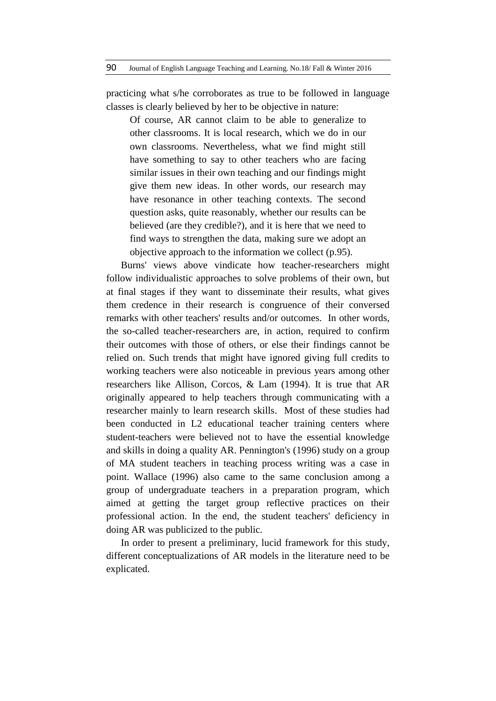practicing what s/he corroborates as true to be followed in language classes is clearly believed by her to be objective in nature:

Of course, AR cannot claim to be able to generalize to other classrooms. It is local research, which we do in our own classrooms. Nevertheless, what we find might still have something to say to other teachers who are facing similar issues in their own teaching and our findings might give them new ideas. In other words, our research may have resonance in other teaching contexts. The second question asks, quite reasonably, whether our results can be believed (are they credible?), and it is here that we need to find ways to strengthen the data, making sure we adopt an objective approach to the information we collect (p.95).

Burns' views above vindicate how teacher-researchers might follow individualistic approaches to solve problems of their own, but at final stages if they want to disseminate their results, what gives them credence in their research is congruence of their conversed remarks with other teachers' results and/or outcomes. In other words, the so-called teacher-researchers are, in action, required to confirm their outcomes with those of others, or else their findings cannot be relied on. Such trends that might have ignored giving full credits to working teachers were also noticeable in previous years among other researchers like Allison, Corcos, & Lam (1994). It is true that AR originally appeared to help teachers through communicating with a researcher mainly to learn research skills. Most of these studies had been conducted in L2 educational teacher training centers where student-teachers were believed not to have the essential knowledge and skills in doing a quality AR. Pennington's (1996) study on a group of MA student teachers in teaching process writing was a case in point. Wallace (1996) also came to the same conclusion among a group of undergraduate teachers in a preparation program, which aimed at getting the target group reflective practices on their professional action. In the end, the student teachers' deficiency in doing AR was publicized to the public.

In order to present a preliminary, lucid framework for this study, different conceptualizations of AR models in the literature need to be explicated.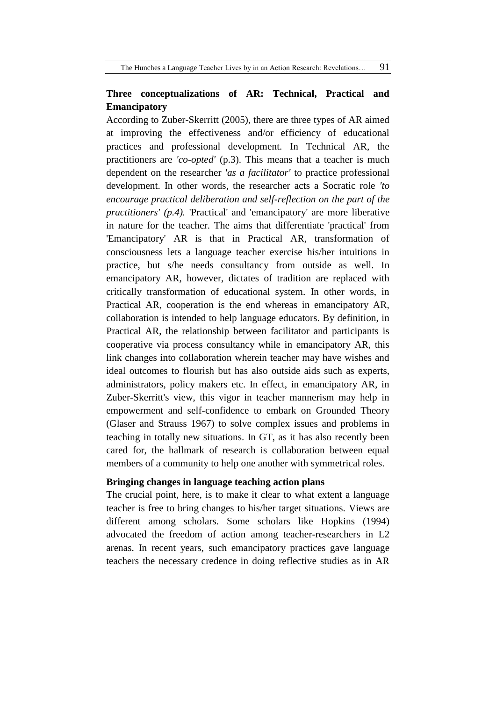## **Three conceptualizations of AR: Technical, Practical and Emancipatory**

According to Zuber-Skerritt (2005), there are three types of AR aimed at improving the effectiveness and/or efficiency of educational practices and professional development. In Technical AR, the practitioners are *'co-opted'* (p.3). This means that a teacher is much dependent on the researcher *'as a facilitator'* to practice professional development. In other words, the researcher acts a Socratic role *'to encourage practical deliberation and self-reflection on the part of the practitioners' (p.4).* 'Practical' and 'emancipatory' are more liberative in nature for the teacher. The aims that differentiate 'practical' from 'Emancipatory' AR is that in Practical AR, transformation of consciousness lets a language teacher exercise his/her intuitions in practice, but s/he needs consultancy from outside as well. In emancipatory AR, however, dictates of tradition are replaced with critically transformation of educational system. In other words, in Practical AR, cooperation is the end whereas in emancipatory AR, collaboration is intended to help language educators. By definition, in Practical AR, the relationship between facilitator and participants is cooperative via process consultancy while in emancipatory AR, this link changes into collaboration wherein teacher may have wishes and ideal outcomes to flourish but has also outside aids such as experts, administrators, policy makers etc. In effect, in emancipatory AR, in Zuber-Skerritt's view, this vigor in teacher mannerism may help in empowerment and self-confidence to embark on Grounded Theory (Glaser and Strauss 1967) to solve complex issues and problems in teaching in totally new situations. In GT, as it has also recently been cared for, the hallmark of research is collaboration between equal members of a community to help one another with symmetrical roles.

## **Bringing changes in language teaching action plans**

The crucial point, here, is to make it clear to what extent a language teacher is free to bring changes to his/her target situations. Views are different among scholars. Some scholars like Hopkins (1994) advocated the freedom of action among teacher-researchers in L2 arenas. In recent years, such emancipatory practices gave language teachers the necessary credence in doing reflective studies as in AR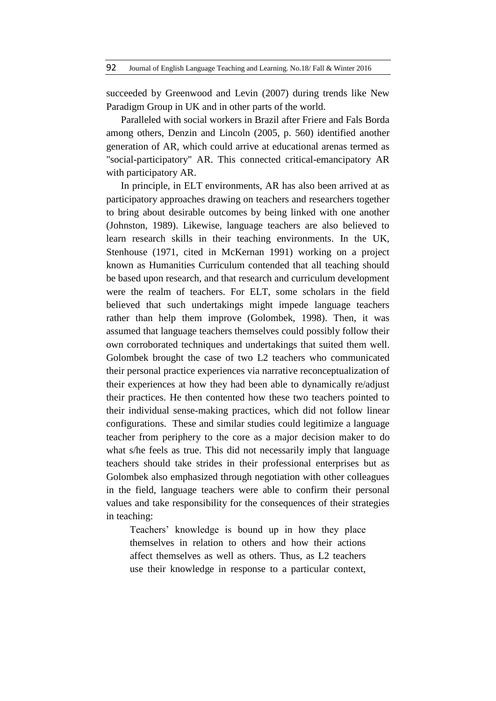succeeded by Greenwood and Levin (2007) during trends like New Paradigm Group in UK and in other parts of the world.

Paralleled with social workers in Brazil after Friere and Fals Borda among others, Denzin and Lincoln (2005, p. 560) identified another generation of AR, which could arrive at educational arenas termed as "social-participatory" AR. This connected critical-emancipatory AR with participatory AR.

In principle, in ELT environments, AR has also been arrived at as participatory approaches drawing on teachers and researchers together to bring about desirable outcomes by being linked with one another (Johnston, 1989). Likewise, language teachers are also believed to learn research skills in their teaching environments. In the UK, Stenhouse (1971, cited in McKernan 1991) working on a project known as Humanities Curriculum contended that all teaching should be based upon research, and that research and curriculum development were the realm of teachers. For ELT, some scholars in the field believed that such undertakings might impede language teachers rather than help them improve (Golombek, 1998). Then, it was assumed that language teachers themselves could possibly follow their own corroborated techniques and undertakings that suited them well. Golombek brought the case of two L2 teachers who communicated their personal practice experiences via narrative reconceptualization of their experiences at how they had been able to dynamically re/adjust their practices. He then contented how these two teachers pointed to their individual sense-making practices, which did not follow linear configurations. These and similar studies could legitimize a language teacher from periphery to the core as a major decision maker to do what s/he feels as true. This did not necessarily imply that language teachers should take strides in their professional enterprises but as Golombek also emphasized through negotiation with other colleagues in the field, language teachers were able to confirm their personal values and take responsibility for the consequences of their strategies in teaching:

Teachers' knowledge is bound up in how they place themselves in relation to others and how their actions affect themselves as well as others. Thus, as L2 teachers use their knowledge in response to a particular context,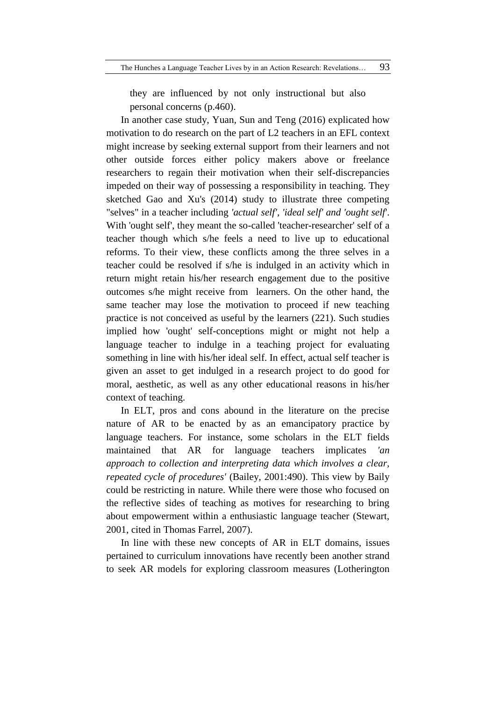they are influenced by not only instructional but also personal concerns (p.460).

In another case study, Yuan, Sun and Teng (2016) explicated how motivation to do research on the part of L2 teachers in an EFL context might increase by seeking external support from their learners and not other outside forces either policy makers above or freelance researchers to regain their motivation when their self-discrepancies impeded on their way of possessing a responsibility in teaching. They sketched Gao and Xu's (2014) study to illustrate three competing "selves" in a teacher including *'actual self', 'ideal self' and 'ought self*'. With 'ought self', they meant the so-called 'teacher-researcher' self of a teacher though which s/he feels a need to live up to educational reforms. To their view, these conflicts among the three selves in a teacher could be resolved if s/he is indulged in an activity which in return might retain his/her research engagement due to the positive outcomes s/he might receive from learners. On the other hand, the same teacher may lose the motivation to proceed if new teaching practice is not conceived as useful by the learners (221). Such studies implied how 'ought' self-conceptions might or might not help a language teacher to indulge in a teaching project for evaluating something in line with his/her ideal self. In effect, actual self teacher is given an asset to get indulged in a research project to do good for moral, aesthetic, as well as any other educational reasons in his/her context of teaching.

In ELT, pros and cons abound in the literature on the precise nature of AR to be enacted by as an emancipatory practice by language teachers. For instance, some scholars in the ELT fields maintained that AR for language teachers implicates *'an approach to collection and interpreting data which involves a clear, repeated cycle of procedures'* (Bailey, 2001:490). This view by Baily could be restricting in nature. While there were those who focused on the reflective sides of teaching as motives for researching to bring about empowerment within a enthusiastic language teacher (Stewart, 2001, cited in Thomas Farrel, 2007).

In line with these new concepts of AR in ELT domains, issues pertained to curriculum innovations have recently been another strand to seek AR models for exploring classroom measures (Lotherington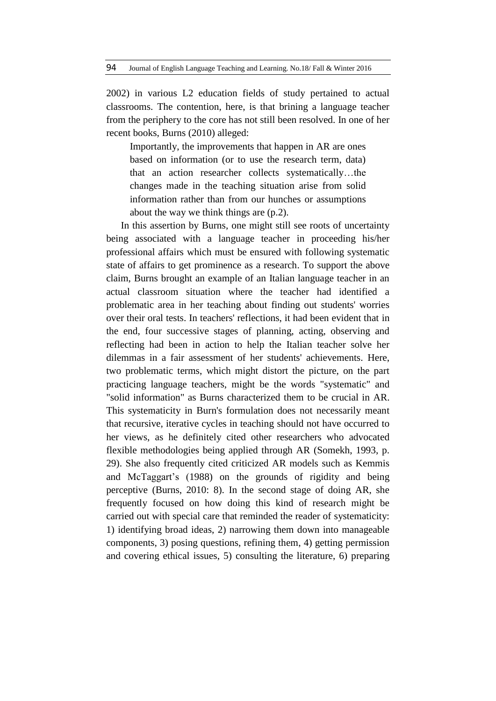2002) in various L2 education fields of study pertained to actual classrooms. The contention, here, is that brining a language teacher from the periphery to the core has not still been resolved. In one of her recent books, Burns (2010) alleged:

Importantly, the improvements that happen in AR are ones based on information (or to use the research term, data) that an action researcher collects systematically…the changes made in the teaching situation arise from solid information rather than from our hunches or assumptions about the way we think things are (p.2).

In this assertion by Burns, one might still see roots of uncertainty being associated with a language teacher in proceeding his/her professional affairs which must be ensured with following systematic state of affairs to get prominence as a research. To support the above claim, Burns brought an example of an Italian language teacher in an actual classroom situation where the teacher had identified a problematic area in her teaching about finding out students' worries over their oral tests. In teachers' reflections, it had been evident that in the end, four successive stages of planning, acting, observing and reflecting had been in action to help the Italian teacher solve her dilemmas in a fair assessment of her students' achievements. Here, two problematic terms, which might distort the picture, on the part practicing language teachers, might be the words "systematic" and "solid information" as Burns characterized them to be crucial in AR. This systematicity in Burn's formulation does not necessarily meant that recursive, iterative cycles in teaching should not have occurred to her views, as he definitely cited other researchers who advocated flexible methodologies being applied through AR (Somekh, 1993, p. 29). She also frequently cited criticized AR models such as Kemmis and McTaggart's (1988) on the grounds of rigidity and being perceptive (Burns, 2010: 8). In the second stage of doing AR, she frequently focused on how doing this kind of research might be carried out with special care that reminded the reader of systematicity: 1) identifying broad ideas, 2) narrowing them down into manageable components, 3) posing questions, refining them, 4) getting permission and covering ethical issues, 5) consulting the literature, 6) preparing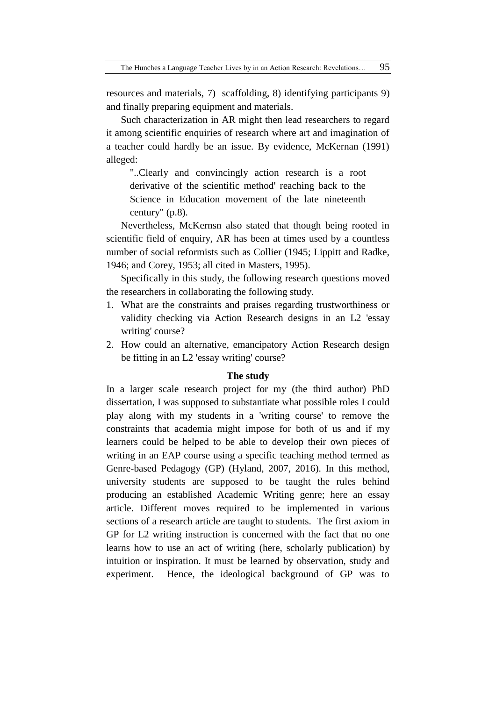resources and materials, 7) scaffolding, 8) identifying participants 9) and finally preparing equipment and materials.

Such characterization in AR might then lead researchers to regard it among scientific enquiries of research where art and imagination of a teacher could hardly be an issue. By evidence, McKernan (1991) alleged:

"..Clearly and convincingly action research is a root derivative of the scientific method' reaching back to the Science in Education movement of the late nineteenth century" (p.8).

Nevertheless, McKernsn also stated that though being rooted in scientific field of enquiry, AR has been at times used by a countless number of social reformists such as Collier (1945; Lippitt and Radke, 1946; and Corey, 1953; all cited in Masters, 1995).

Specifically in this study, the following research questions moved the researchers in collaborating the following study.

- 1. What are the constraints and praises regarding trustworthiness or validity checking via Action Research designs in an L2 'essay writing' course?
- 2. How could an alternative, emancipatory Action Research design be fitting in an L2 'essay writing' course?

#### **The study**

In a larger scale research project for my (the third author) PhD dissertation, I was supposed to substantiate what possible roles I could play along with my students in a 'writing course' to remove the constraints that academia might impose for both of us and if my learners could be helped to be able to develop their own pieces of writing in an EAP course using a specific teaching method termed as Genre-based Pedagogy (GP) (Hyland, 2007, 2016). In this method, university students are supposed to be taught the rules behind producing an established Academic Writing genre; here an essay article. Different moves required to be implemented in various sections of a research article are taught to students. The first axiom in GP for L2 writing instruction is concerned with the fact that no one learns how to use an act of writing (here, scholarly publication) by intuition or inspiration. It must be learned by observation, study and experiment. Hence, the ideological background of GP was to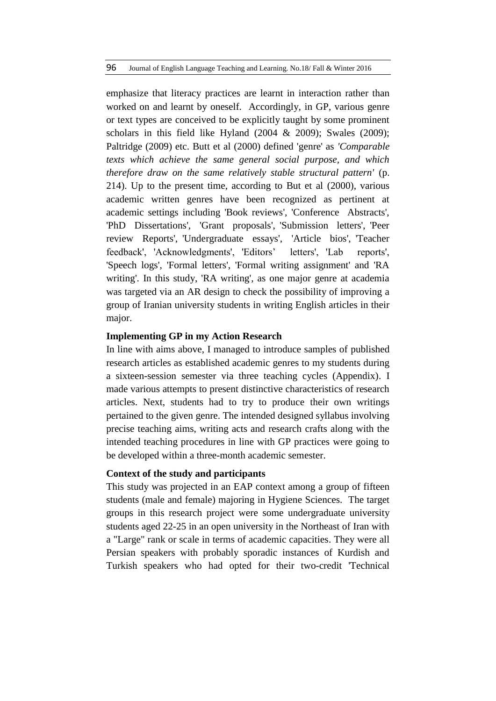emphasize that literacy practices are learnt in interaction rather than worked on and learnt by oneself. Accordingly, in GP, various genre or text types are conceived to be explicitly taught by some prominent scholars in this field like Hyland (2004 & 2009); Swales (2009); Paltridge (2009) etc. Butt et al (2000) defined 'genre' as *'Comparable texts which achieve the same general social purpose, and which therefore draw on the same relatively stable structural pattern'* (p. 214). Up to the present time, according to But et al (2000), various academic written genres have been recognized as pertinent at academic settings including 'Book reviews', 'Conference Abstracts', 'PhD Dissertations', 'Grant proposals', 'Submission letters', 'Peer review Reports', 'Undergraduate essays', 'Article bios', 'Teacher feedback', 'Acknowledgments', 'Editors' letters', 'Lab reports', 'Speech logs', 'Formal letters', 'Formal writing assignment' and 'RA writing'. In this study, 'RA writing', as one major genre at academia was targeted via an AR design to check the possibility of improving a group of Iranian university students in writing English articles in their major.

## **Implementing GP in my Action Research**

In line with aims above, I managed to introduce samples of published research articles as established academic genres to my students during a sixteen-session semester via three teaching cycles (Appendix). I made various attempts to present distinctive characteristics of research articles. Next, students had to try to produce their own writings pertained to the given genre. The intended designed syllabus involving precise teaching aims, writing acts and research crafts along with the intended teaching procedures in line with GP practices were going to be developed within a three-month academic semester.

## **Context of the study and participants**

This study was projected in an EAP context among a group of fifteen students (male and female) majoring in Hygiene Sciences. The target groups in this research project were some undergraduate university students aged 22-25 in an open university in the Northeast of Iran with a "Large" rank or scale in terms of academic capacities. They were all Persian speakers with probably sporadic instances of Kurdish and Turkish speakers who had opted for their two-credit 'Technical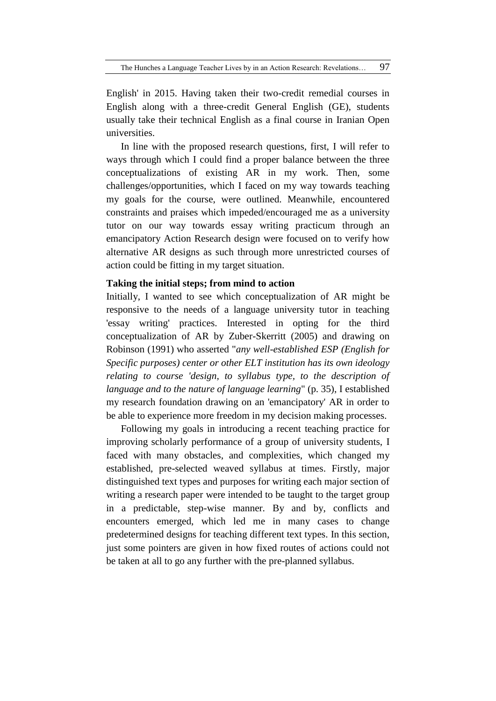English' in 2015. Having taken their two-credit remedial courses in English along with a three-credit General English (GE), students usually take their technical English as a final course in Iranian Open universities.

In line with the proposed research questions, first, I will refer to ways through which I could find a proper balance between the three conceptualizations of existing AR in my work. Then, some challenges/opportunities, which I faced on my way towards teaching my goals for the course, were outlined. Meanwhile, encountered constraints and praises which impeded/encouraged me as a university tutor on our way towards essay writing practicum through an emancipatory Action Research design were focused on to verify how alternative AR designs as such through more unrestricted courses of action could be fitting in my target situation.

## **Taking the initial steps; from mind to action**

Initially, I wanted to see which conceptualization of AR might be responsive to the needs of a language university tutor in teaching 'essay writing' practices. Interested in opting for the third conceptualization of AR by Zuber-Skerritt (2005) and drawing on Robinson (1991) who asserted "*any well-established ESP (English for Specific purposes) center or other ELT institution has its own ideology relating to course 'design, to syllabus type, to the description of language and to the nature of language learning*" (p. 35), I established my research foundation drawing on an 'emancipatory' AR in order to be able to experience more freedom in my decision making processes.

Following my goals in introducing a recent teaching practice for improving scholarly performance of a group of university students, I faced with many obstacles, and complexities, which changed my established, pre-selected weaved syllabus at times. Firstly, major distinguished text types and purposes for writing each major section of writing a research paper were intended to be taught to the target group in a predictable, step-wise manner. By and by, conflicts and encounters emerged, which led me in many cases to change predetermined designs for teaching different text types. In this section, just some pointers are given in how fixed routes of actions could not be taken at all to go any further with the pre-planned syllabus.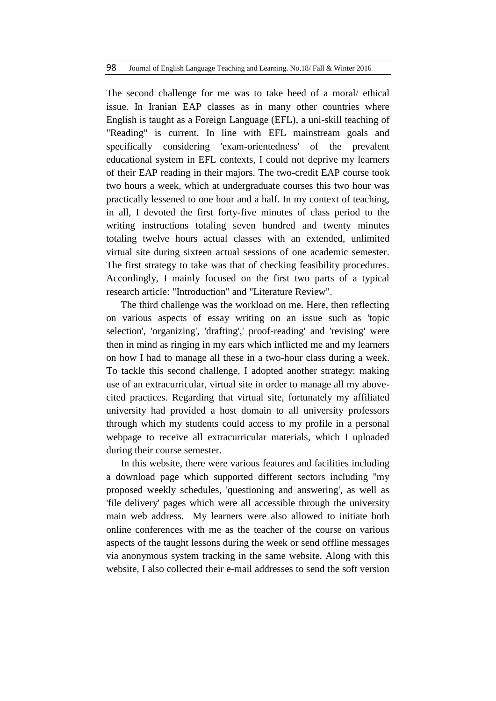The second challenge for me was to take heed of a moral/ ethical issue. In Iranian EAP classes as in many other countries where English is taught as a Foreign Language (EFL), a uni-skill teaching of "Reading" is current. In line with EFL mainstream goals and specifically considering 'exam-orientedness' of the prevalent educational system in EFL contexts, I could not deprive my learners of their EAP reading in their majors. The two-credit EAP course took two hours a week, which at undergraduate courses this two hour was practically lessened to one hour and a half. In my context of teaching, in all, I devoted the first forty-five minutes of class period to the writing instructions totaling seven hundred and twenty minutes totaling twelve hours actual classes with an extended, unlimited virtual site during sixteen actual sessions of one academic semester. The first strategy to take was that of checking feasibility procedures. Accordingly, I mainly focused on the first two parts of a typical research article: "Introduction" and "Literature Review".

The third challenge was the workload on me. Here, then reflecting on various aspects of essay writing on an issue such as 'topic selection', 'organizing', 'drafting',' proof-reading' and 'revising' were then in mind as ringing in my ears which inflicted me and my learners on how I had to manage all these in a two-hour class during a week. To tackle this second challenge, I adopted another strategy: making use of an extracurricular, virtual site in order to manage all my abovecited practices. Regarding that virtual site, fortunately my affiliated university had provided a host domain to all university professors through which my students could access to my profile in a personal webpage to receive all extracurricular materials, which I uploaded during their course semester.

In this website, there were various features and facilities including a download page which supported different sectors including ''my proposed weekly schedules, 'questioning and answering', as well as 'file delivery' pages which were all accessible through [the](http://adp.iaus.ac.ir/Dept/User/PersonalPage.aspx?UID=231) university main web address. My learners were also allowed to initiate both online conferences with me as the teacher of the course on various aspects of the taught lessons during the week or send offline messages via anonymous system tracking in the same website. Along with this website, I also collected their e-mail addresses to send the soft version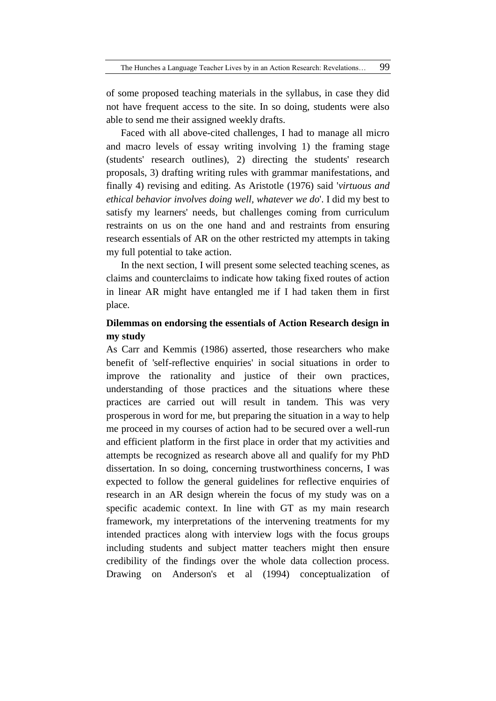of some proposed teaching materials in the syllabus, in case they did not have frequent access to the site. In so doing, students were also able to send me their assigned weekly drafts.

Faced with all above-cited challenges, I had to manage all micro and macro levels of essay writing involving 1) the framing stage (students' research outlines), 2) directing the students' research proposals, 3) drafting writing rules with grammar manifestations, and finally 4) revising and editing. As Aristotle (1976) said '*virtuous and ethical behavior involves doing well, whatever we do*'. I did my best to satisfy my learners' needs, but challenges coming from curriculum restraints on us on the one hand and and restraints from ensuring research essentials of AR on the other restricted my attempts in taking my full potential to take action.

In the next section, I will present some selected teaching scenes, as claims and counterclaims to indicate how taking fixed routes of action in linear AR might have entangled me if I had taken them in first place.

## **Dilemmas on endorsing the essentials of Action Research design in my study**

As Carr and Kemmis (1986) asserted, those researchers who make benefit of 'self-reflective enquiries' in social situations in order to improve the rationality and justice of their own practices, understanding of those practices and the situations where these practices are carried out will result in tandem. This was very prosperous in word for me, but preparing the situation in a way to help me proceed in my courses of action had to be secured over a well-run and efficient platform in the first place in order that my activities and attempts be recognized as research above all and qualify for my PhD dissertation. In so doing, concerning trustworthiness concerns, I was expected to follow the general guidelines for reflective enquiries of research in an AR design wherein the focus of my study was on a specific academic context. In line with GT as my main research framework, my interpretations of the intervening treatments for my intended practices along with interview logs with the focus groups including students and subject matter teachers might then ensure credibility of the findings over the whole data collection process. Drawing on Anderson's et al (1994) conceptualization of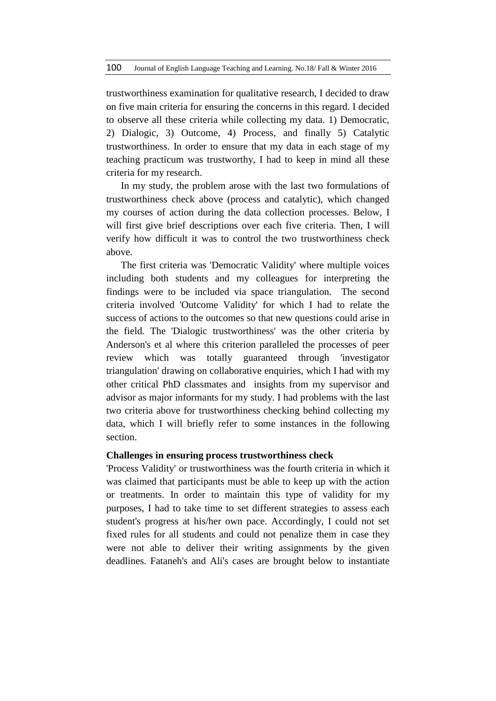trustworthiness examination for qualitative research, I decided to draw on five main criteria for ensuring the concerns in this regard. I decided to observe all these criteria while collecting my data. 1) Democratic, 2) Dialogic, 3) Outcome, 4) Process, and finally 5) Catalytic trustworthiness. In order to ensure that my data in each stage of my teaching practicum was trustworthy, I had to keep in mind all these criteria for my research.

In my study, the problem arose with the last two formulations of trustworthiness check above (process and catalytic), which changed my courses of action during the data collection processes. Below, I will first give brief descriptions over each five criteria. Then, I will verify how difficult it was to control the two trustworthiness check above.

The first criteria was 'Democratic Validity' where multiple voices including both students and my colleagues for interpreting the findings were to be included via space triangulation. The second criteria involved 'Outcome Validity' for which I had to relate the success of actions to the outcomes so that new questions could arise in the field. The 'Dialogic trustworthiness' was the other criteria by Anderson's et al where this criterion paralleled the processes of peer review which was totally guaranteed through 'investigator triangulation' drawing on collaborative enquiries, which I had with my other critical PhD classmates and insights from my supervisor and advisor as major informants for my study. I had problems with the last two criteria above for trustworthiness checking behind collecting my data, which I will briefly refer to some instances in the following section.

## **Challenges in ensuring process trustworthiness check**

'Process Validity' or trustworthiness was the fourth criteria in which it was claimed that participants must be able to keep up with the action or treatments. In order to maintain this type of validity for my purposes, I had to take time to set different strategies to assess each student's progress at his/her own pace. Accordingly, I could not set fixed rules for all students and could not penalize them in case they were not able to deliver their writing assignments by the given deadlines. Fataneh's and Ali's cases are brought below to instantiate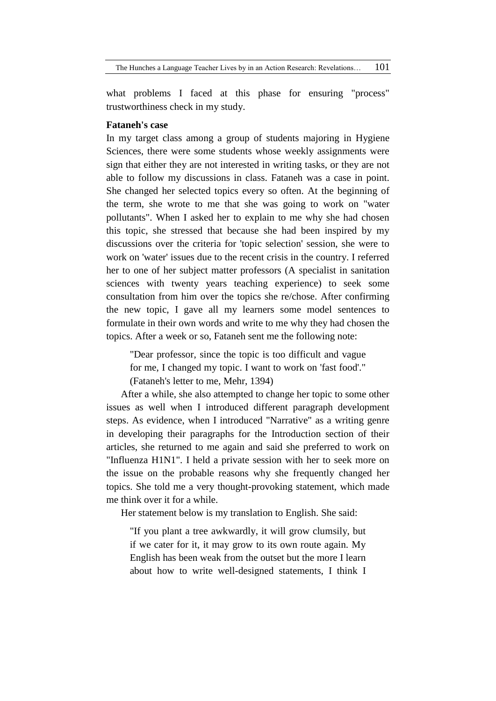what problems I faced at this phase for ensuring "process" trustworthiness check in my study.

## **Fataneh's case**

In my target class among a group of students majoring in Hygiene Sciences, there were some students whose weekly assignments were sign that either they are not interested in writing tasks, or they are not able to follow my discussions in class. Fataneh was a case in point. She changed her selected topics every so often. At the beginning of the term, she wrote to me that she was going to work on "water pollutants". When I asked her to explain to me why she had chosen this topic, she stressed that because she had been inspired by my discussions over the criteria for 'topic selection' session, she were to work on 'water' issues due to the recent crisis in the country. I referred her to one of her subject matter professors (A specialist in sanitation sciences with twenty years teaching experience) to seek some consultation from him over the topics she re/chose. After confirming the new topic, I gave all my learners some model sentences to formulate in their own words and write to me why they had chosen the topics. After a week or so, Fataneh sent me the following note:

"Dear professor, since the topic is too difficult and vague for me, I changed my topic. I want to work on 'fast food'." (Fataneh's letter to me, Mehr, 1394)

After a while, she also attempted to change her topic to some other issues as well when I introduced different paragraph development steps. As evidence, when I introduced "Narrative" as a writing genre in developing their paragraphs for the Introduction section of their articles, she returned to me again and said she preferred to work on "Influenza H1N1". I held a private session with her to seek more on the issue on the probable reasons why she frequently changed her topics. She told me a very thought-provoking statement, which made me think over it for a while.

Her statement below is my translation to English. She said:

"If you plant a tree awkwardly, it will grow clumsily, but if we cater for it, it may grow to its own route again. My English has been weak from the outset but the more I learn about how to write well-designed statements, I think I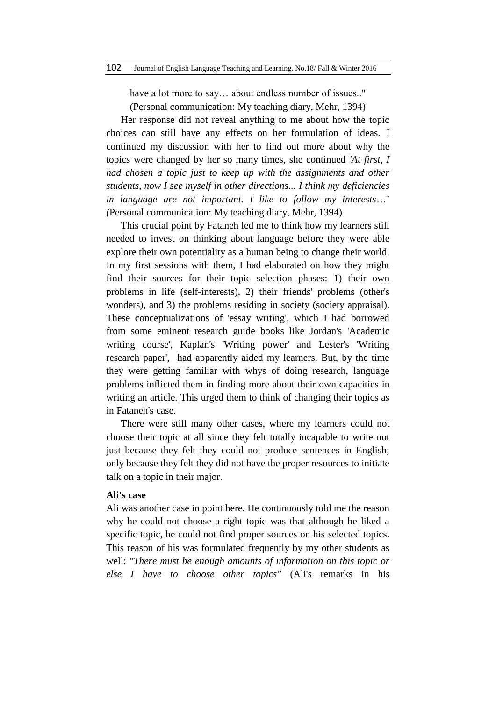have a lot more to say... about endless number of issues.."

(Personal communication: My teaching diary, Mehr, 1394)

Her response did not reveal anything to me about how the topic choices can still have any effects on her formulation of ideas. I continued my discussion with her to find out more about why the topics were changed by her so many times, she continued *'At first, I had chosen a topic just to keep up with the assignments and other students, now I see myself in other directions... I think my deficiencies in language are not important. I like to follow my interests*…' *(*Personal communication: My teaching diary, Mehr, 1394)

This crucial point by Fataneh led me to think how my learners still needed to invest on thinking about language before they were able explore their own potentiality as a human being to change their world. In my first sessions with them, I had elaborated on how they might find their sources for their topic selection phases: 1) their own problems in life (self-interests), 2) their friends' problems (other's wonders), and 3) the problems residing in society (society appraisal). These conceptualizations of 'essay writing', which I had borrowed from some eminent research guide books like Jordan's 'Academic writing course', Kaplan's 'Writing power' and Lester's 'Writing research paper', had apparently aided my learners. But, by the time they were getting familiar with whys of doing research, language problems inflicted them in finding more about their own capacities in writing an article. This urged them to think of changing their topics as in Fataneh's case.

There were still many other cases, where my learners could not choose their topic at all since they felt totally incapable to write not just because they felt they could not produce sentences in English; only because they felt they did not have the proper resources to initiate talk on a topic in their major.

#### **Ali's case**

Ali was another case in point here. He continuously told me the reason why he could not choose a right topic was that although he liked a specific topic, he could not find proper sources on his selected topics. This reason of his was formulated frequently by my other students as well: "*There must be enough amounts of information on this topic or else I have to choose other topics"* (Ali's remarks in his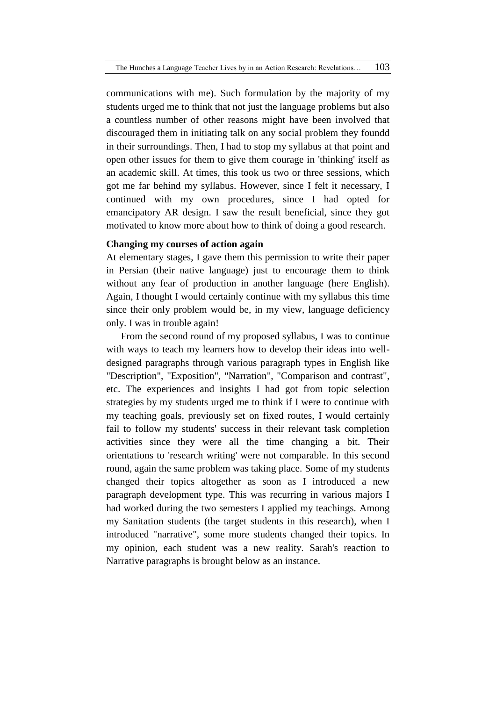communications with me). Such formulation by the majority of my students urged me to think that not just the language problems but also a countless number of other reasons might have been involved that discouraged them in initiating talk on any social problem they foundd in their surroundings. Then, I had to stop my syllabus at that point and open other issues for them to give them courage in 'thinking' itself as an academic skill. At times, this took us two or three sessions, which got me far behind my syllabus. However, since I felt it necessary, I continued with my own procedures, since I had opted for emancipatory AR design. I saw the result beneficial, since they got motivated to know more about how to think of doing a good research.

## **Changing my courses of action again**

At elementary stages, I gave them this permission to write their paper in Persian (their native language) just to encourage them to think without any fear of production in another language (here English). Again, I thought I would certainly continue with my syllabus this time since their only problem would be, in my view, language deficiency only. I was in trouble again!

From the second round of my proposed syllabus, I was to continue with ways to teach my learners how to develop their ideas into welldesigned paragraphs through various paragraph types in English like "Description", "Exposition", "Narration", "Comparison and contrast", etc. The experiences and insights I had got from topic selection strategies by my students urged me to think if I were to continue with my teaching goals, previously set on fixed routes, I would certainly fail to follow my students' success in their relevant task completion activities since they were all the time changing a bit. Their orientations to 'research writing' were not comparable. In this second round, again the same problem was taking place. Some of my students changed their topics altogether as soon as I introduced a new paragraph development type. This was recurring in various majors I had worked during the two semesters I applied my teachings. Among my Sanitation students (the target students in this research), when I introduced "narrative", some more students changed their topics. In my opinion, each student was a new reality. Sarah's reaction to Narrative paragraphs is brought below as an instance.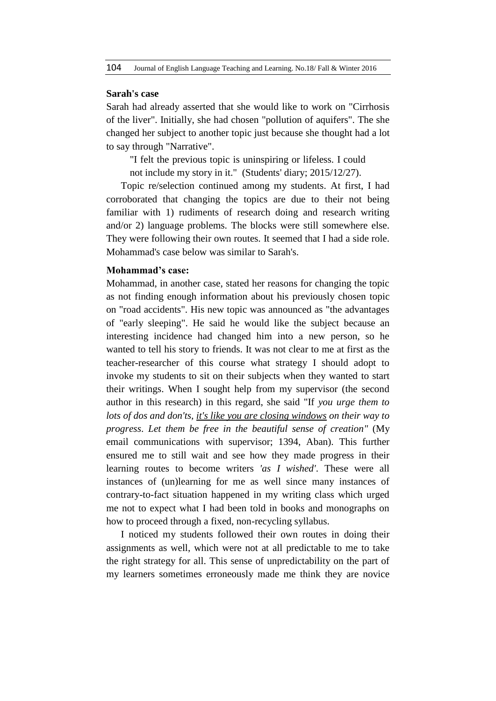#### **Sarah's case**

Sarah had already asserted that she would like to work on "Cirrhosis of the liver". Initially, she had chosen "pollution of aquifers". The she changed her subject to another topic just because she thought had a lot to say through "Narrative".

"I felt the previous topic is uninspiring or lifeless. I could

not include my story in it." (Students' diary; 2015/12/27).

Topic re/selection continued among my students. At first, I had corroborated that changing the topics are due to their not being familiar with 1) rudiments of research doing and research writing and/or 2) language problems. The blocks were still somewhere else. They were following their own routes. It seemed that I had a side role. Mohammad's case below was similar to Sarah's.

## **Mohammad's case:**

Mohammad, in another case, stated her reasons for changing the topic as not finding enough information about his previously chosen topic on "road accidents". His new topic was announced as "the advantages of "early sleeping". He said he would like the subject because an interesting incidence had changed him into a new person, so he wanted to tell his story to friends. It was not clear to me at first as the teacher-researcher of this course what strategy I should adopt to invoke my students to sit on their subjects when they wanted to start their writings. When I sought help from my supervisor (the second author in this research) in this regard, she said "If *you urge them to lots of dos and don'ts, it's like you are closing windows on their way to progress*. *Let them be free in the beautiful sense of creation"* (My email communications with supervisor; 1394, Aban). This further ensured me to still wait and see how they made progress in their learning routes to become writers *'as I wished'*. These were all instances of (un)learning for me as well since many instances of contrary-to-fact situation happened in my writing class which urged me not to expect what I had been told in books and monographs on how to proceed through a fixed, non-recycling syllabus.

I noticed my students followed their own routes in doing their assignments as well, which were not at all predictable to me to take the right strategy for all. This sense of unpredictability on the part of my learners sometimes erroneously made me think they are novice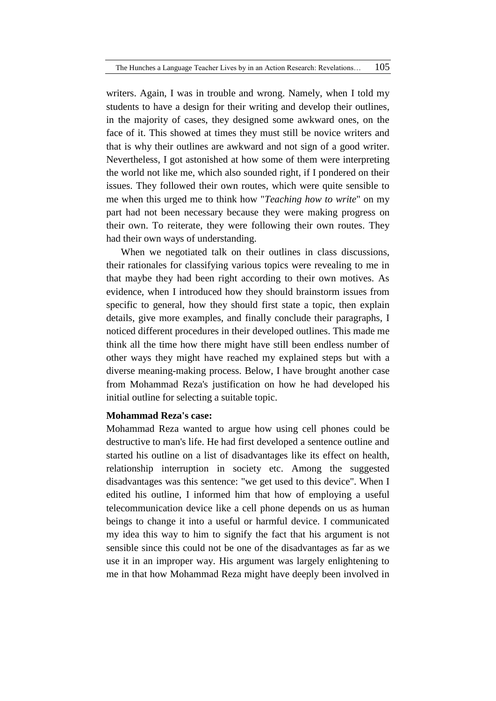writers. Again, I was in trouble and wrong. Namely, when I told my students to have a design for their writing and develop their outlines, in the majority of cases, they designed some awkward ones, on the face of it. This showed at times they must still be novice writers and that is why their outlines are awkward and not sign of a good writer. Nevertheless, I got astonished at how some of them were interpreting the world not like me, which also sounded right, if I pondered on their issues. They followed their own routes, which were quite sensible to me when this urged me to think how "*Teaching how to write*" on my part had not been necessary because they were making progress on their own. To reiterate, they were following their own routes. They had their own ways of understanding.

When we negotiated talk on their outlines in class discussions, their rationales for classifying various topics were revealing to me in that maybe they had been right according to their own motives. As evidence, when I introduced how they should brainstorm issues from specific to general, how they should first state a topic, then explain details, give more examples, and finally conclude their paragraphs, I noticed different procedures in their developed outlines. This made me think all the time how there might have still been endless number of other ways they might have reached my explained steps but with a diverse meaning-making process. Below, I have brought another case from Mohammad Reza's justification on how he had developed his initial outline for selecting a suitable topic.

## **Mohammad Reza's case:**

Mohammad Reza wanted to argue how using cell phones could be destructive to man's life. He had first developed a sentence outline and started his outline on a list of disadvantages like its effect on health, relationship interruption in society etc. Among the suggested disadvantages was this sentence: "we get used to this device". When I edited his outline, I informed him that how of employing a useful telecommunication device like a cell phone depends on us as human beings to change it into a useful or harmful device. I communicated my idea this way to him to signify the fact that his argument is not sensible since this could not be one of the disadvantages as far as we use it in an improper way. His argument was largely enlightening to me in that how Mohammad Reza might have deeply been involved in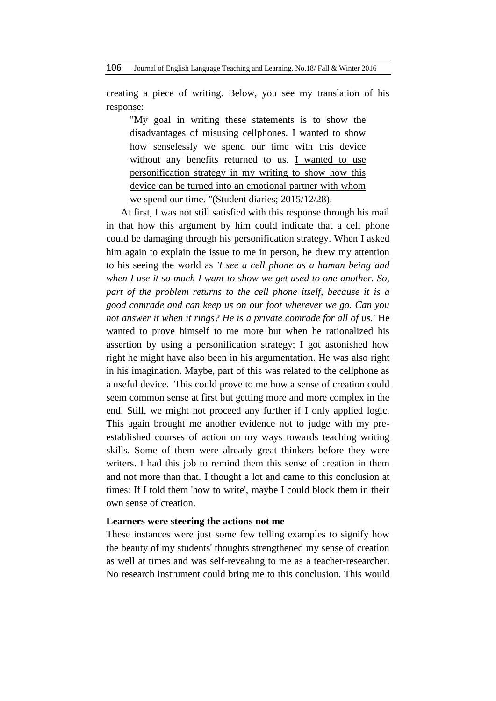creating a piece of writing. Below, you see my translation of his response:

"My goal in writing these statements is to show the disadvantages of misusing cellphones. I wanted to show how senselessly we spend our time with this device without any benefits returned to us. I wanted to use personification strategy in my writing to show how this device can be turned into an emotional partner with whom we spend our time. "(Student diaries; 2015/12/28).

At first, I was not still satisfied with this response through his mail in that how this argument by him could indicate that a cell phone could be damaging through his personification strategy. When I asked him again to explain the issue to me in person, he drew my attention to his seeing the world as *'I see a cell phone as a human being and when I use it so much I want to show we get used to one another. So, part of the problem returns to the cell phone itself, because it is a good comrade and can keep us on our foot wherever we go. Can you not answer it when it rings? He is a private comrade for all of us.'* He wanted to prove himself to me more but when he rationalized his assertion by using a personification strategy; I got astonished how right he might have also been in his argumentation. He was also right in his imagination. Maybe, part of this was related to the cellphone as a useful device. This could prove to me how a sense of creation could seem common sense at first but getting more and more complex in the end. Still, we might not proceed any further if I only applied logic. This again brought me another evidence not to judge with my preestablished courses of action on my ways towards teaching writing skills. Some of them were already great thinkers before they were writers. I had this job to remind them this sense of creation in them and not more than that. I thought a lot and came to this conclusion at times: If I told them 'how to write', maybe I could block them in their own sense of creation.

## **Learners were steering the actions not me**

These instances were just some few telling examples to signify how the beauty of my students' thoughts strengthened my sense of creation as well at times and was self-revealing to me as a teacher-researcher. No research instrument could bring me to this conclusion. This would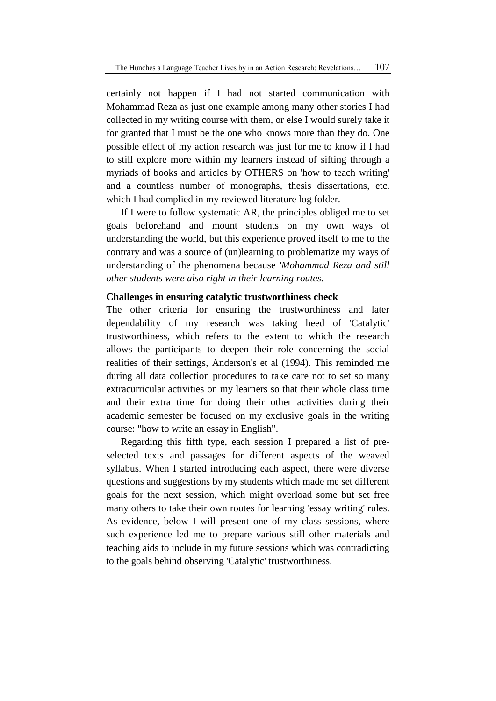certainly not happen if I had not started communication with Mohammad Reza as just one example among many other stories I had collected in my writing course with them, or else I would surely take it for granted that I must be the one who knows more than they do. One possible effect of my action research was just for me to know if I had to still explore more within my learners instead of sifting through a myriads of books and articles by OTHERS on 'how to teach writing' and a countless number of monographs, thesis dissertations, etc. which I had complied in my reviewed literature log folder.

If I were to follow systematic AR, the principles obliged me to set goals beforehand and mount students on my own ways of understanding the world, but this experience proved itself to me to the contrary and was a source of (un)learning to problematize my ways of understanding of the phenomena because *'Mohammad Reza and still other students were also right in their learning routes.* 

## **Challenges in ensuring catalytic trustworthiness check**

The other criteria for ensuring the trustworthiness and later dependability of my research was taking heed of 'Catalytic' trustworthiness, which refers to the extent to which the research allows the participants to deepen their role concerning the social realities of their settings, Anderson's et al (1994). This reminded me during all data collection procedures to take care not to set so many extracurricular activities on my learners so that their whole class time and their extra time for doing their other activities during their academic semester be focused on my exclusive goals in the writing course: "how to write an essay in English".

Regarding this fifth type, each session I prepared a list of preselected texts and passages for different aspects of the weaved syllabus. When I started introducing each aspect, there were diverse questions and suggestions by my students which made me set different goals for the next session, which might overload some but set free many others to take their own routes for learning 'essay writing' rules. As evidence, below I will present one of my class sessions, where such experience led me to prepare various still other materials and teaching aids to include in my future sessions which was contradicting to the goals behind observing 'Catalytic' trustworthiness.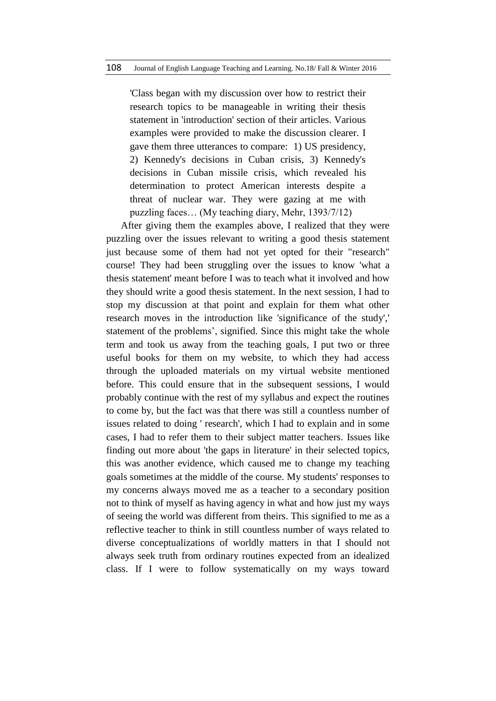'Class began with my discussion over how to restrict their research topics to be manageable in writing their thesis statement in 'introduction' section of their articles. Various examples were provided to make the discussion clearer. I gave them three utterances to compare: 1) US presidency, 2) Kennedy's decisions in Cuban crisis, 3) Kennedy's decisions in Cuban missile crisis, which revealed his determination to protect American interests despite a threat of nuclear war. They were gazing at me with puzzling faces… (My teaching diary, Mehr, 1393/7/12)

After giving them the examples above, I realized that they were puzzling over the issues relevant to writing a good thesis statement just because some of them had not yet opted for their "research" course! They had been struggling over the issues to know 'what a thesis statement' meant before I was to teach what it involved and how they should write a good thesis statement. In the next session, I had to stop my discussion at that point and explain for them what other research moves in the introduction like 'significance of the study',' statement of the problems', signified. Since this might take the whole term and took us away from the teaching goals, I put two or three useful books for them on my website, to which they had access through the uploaded materials on my virtual website mentioned before. This could ensure that in the subsequent sessions, I would probably continue with the rest of my syllabus and expect the routines to come by, but the fact was that there was still a countless number of issues related to doing ' research', which I had to explain and in some cases, I had to refer them to their subject matter teachers. Issues like finding out more about 'the gaps in literature' in their selected topics, this was another evidence, which caused me to change my teaching goals sometimes at the middle of the course. My students' responses to my concerns always moved me as a teacher to a secondary position not to think of myself as having agency in what and how just my ways of seeing the world was different from theirs. This signified to me as a reflective teacher to think in still countless number of ways related to diverse conceptualizations of worldly matters in that I should not always seek truth from ordinary routines expected from an idealized class. If I were to follow systematically on my ways toward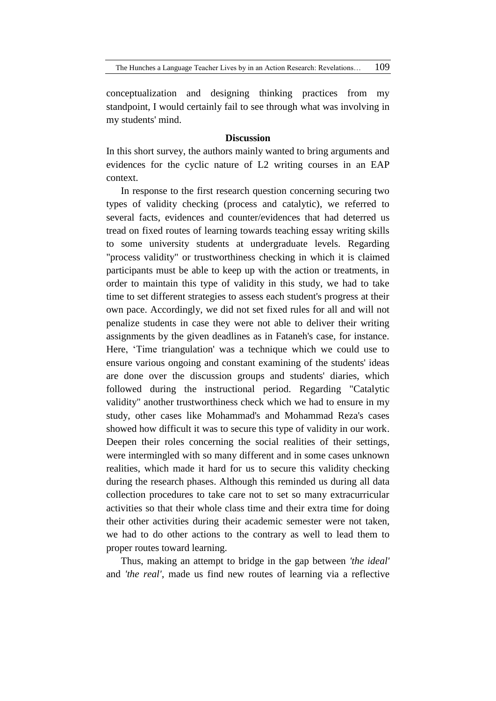conceptualization and designing thinking practices from my standpoint, I would certainly fail to see through what was involving in my students' mind.

## **Discussion**

In this short survey, the authors mainly wanted to bring arguments and evidences for the cyclic nature of L2 writing courses in an EAP context.

In response to the first research question concerning securing two types of validity checking (process and catalytic), we referred to several facts, evidences and counter/evidences that had deterred us tread on fixed routes of learning towards teaching essay writing skills to some university students at undergraduate levels. Regarding "process validity" or trustworthiness checking in which it is claimed participants must be able to keep up with the action or treatments, in order to maintain this type of validity in this study, we had to take time to set different strategies to assess each student's progress at their own pace. Accordingly, we did not set fixed rules for all and will not penalize students in case they were not able to deliver their writing assignments by the given deadlines as in Fataneh's case, for instance. Here, 'Time triangulation' was a technique which we could use to ensure various ongoing and constant examining of the students' ideas are done over the discussion groups and students' diaries, which followed during the instructional period. Regarding "Catalytic validity" another trustworthiness check which we had to ensure in my study, other cases like Mohammad's and Mohammad Reza's cases showed how difficult it was to secure this type of validity in our work. Deepen their roles concerning the social realities of their settings, were intermingled with so many different and in some cases unknown realities, which made it hard for us to secure this validity checking during the research phases. Although this reminded us during all data collection procedures to take care not to set so many extracurricular activities so that their whole class time and their extra time for doing their other activities during their academic semester were not taken, we had to do other actions to the contrary as well to lead them to proper routes toward learning.

Thus, making an attempt to bridge in the gap between *'the ideal'*  and *'the real'*, made us find new routes of learning via a reflective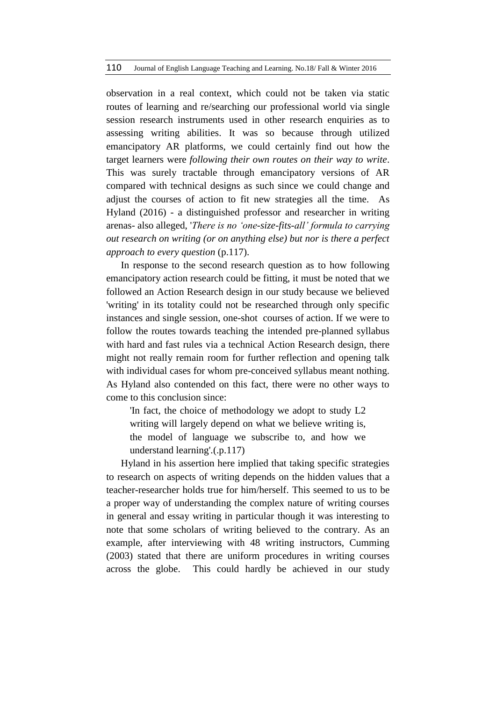observation in a real context, which could not be taken via static routes of learning and re/searching our professional world via single session research instruments used in other research enquiries as to assessing writing abilities. It was so because through utilized emancipatory AR platforms, we could certainly find out how the target learners were *following their own routes on their way to write*. This was surely tractable through emancipatory versions of AR compared with technical designs as such since we could change and adjust the courses of action to fit new strategies all the time. As Hyland (2016) - a distinguished professor and researcher in writing arenas- also alleged, '*There is no 'one-size-fits-all' formula to carrying out research on writing (or on anything else) but nor is there a perfect approach to every question* (p.117).

In response to the second research question as to how following emancipatory action research could be fitting, it must be noted that we followed an Action Research design in our study because we believed 'writing' in its totality could not be researched through only specific instances and single session, one-shot courses of action. If we were to follow the routes towards teaching the intended pre-planned syllabus with hard and fast rules via a technical Action Research design, there might not really remain room for further reflection and opening talk with individual cases for whom pre-conceived syllabus meant nothing. As Hyland also contended on this fact, there were no other ways to come to this conclusion since:

'In fact, the choice of methodology we adopt to study L2 writing will largely depend on what we believe writing is, the model of language we subscribe to, and how we understand learning'.(.p.117)

Hyland in his assertion here implied that taking specific strategies to research on aspects of writing depends on the hidden values that a teacher-researcher holds true for him/herself. This seemed to us to be a proper way of understanding the complex nature of writing courses in general and essay writing in particular though it was interesting to note that some scholars of writing believed to the contrary. As an example, after interviewing with 48 writing instructors, Cumming (2003) stated that there are uniform procedures in writing courses across the globe. This could hardly be achieved in our study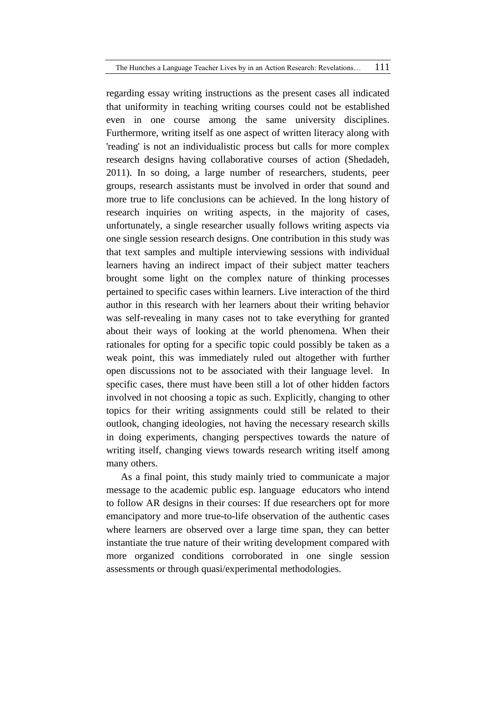regarding essay writing instructions as the present cases all indicated that uniformity in teaching writing courses could not be established even in one course among the same university disciplines. Furthermore, writing itself as one aspect of written literacy along with 'reading' is not an individualistic process but calls for more complex research designs having collaborative courses of action (Shedadeh, 2011). In so doing, a large number of researchers, students, peer groups, research assistants must be involved in order that sound and more true to life conclusions can be achieved. In the long history of research inquiries on writing aspects, in the majority of cases, unfortunately, a single researcher usually follows writing aspects via one single session research designs. One contribution in this study was that text samples and multiple interviewing sessions with individual learners having an indirect impact of their subject matter teachers brought some light on the complex nature of thinking processes pertained to specific cases within learners. Live interaction of the third author in this research with her learners about their writing behavior was self-revealing in many cases not to take everything for granted about their ways of looking at the world phenomena. When their rationales for opting for a specific topic could possibly be taken as a weak point, this was immediately ruled out altogether with further open discussions not to be associated with their language level. In specific cases, there must have been still a lot of other hidden factors involved in not choosing a topic as such. Explicitly, changing to other topics for their writing assignments could still be related to their outlook, changing ideologies, not having the necessary research skills in doing experiments, changing perspectives towards the nature of writing itself, changing views towards research writing itself among many others.

As a final point, this study mainly tried to communicate a major message to the academic public esp. language educators who intend to follow AR designs in their courses: If due researchers opt for more emancipatory and more true-to-life observation of the authentic cases where learners are observed over a large time span, they can better instantiate the true nature of their writing development compared with more organized conditions corroborated in one single session assessments or through quasi/experimental methodologies.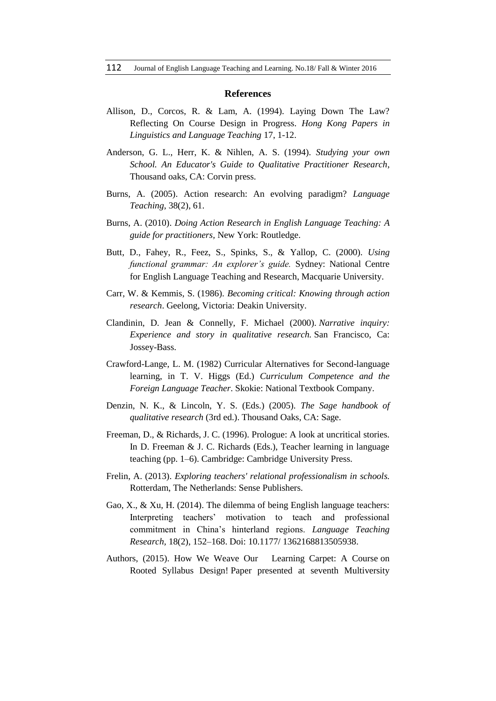#### **References**

- Allison, D., Corcos, R. & Lam, A. (1994). Laying Down The Law? Reflecting On Course Design in Progress. *Hong Kong Papers in Linguistics and Language Teaching* 17, 1-12.
- Anderson, G. L., Herr, K. & Nihlen, A. S. (1994). *Studying your own School. An Educator's Guide to Qualitative Practitioner Research*, Thousand oaks, CA: Corvin press.
- Burns, A. (2005). Action research: An evolving paradigm? *Language Teaching*, 38(2), 61.
- Burns, A. (2010). *Doing Action Research in English Language Teaching: A guide for practitioners,* New York: Routledge.
- Butt, D., Fahey, R., Feez, S., Spinks, S., & Yallop, C. (2000). *Using functional grammar: An explorer's guide.* Sydney: National Centre for English Language Teaching and Research, Macquarie University.
- Carr, W. & Kemmis, S. (1986). *Becoming critical: Knowing through action research*. Geelong, Victoria: Deakin University.
- Clandinin, D. Jean & Connelly, F. Michael (2000). *Narrative inquiry: Experience and story in qualitative research.* San Francisco, Ca: Jossey-Bass.
- Crawford-Lange, L. M. (1982) Curricular Alternatives for Second-language learning, in T. V. Higgs (Ed.) *Curriculum Competence and the Foreign Language Teacher*. Skokie: National Textbook Company.
- Denzin, N. K., & Lincoln, Y. S. (Eds.) (2005). *The Sage handbook of qualitative research* (3rd ed.). Thousand Oaks, CA: Sage.
- Freeman, D., & Richards, J. C. (1996). Prologue: A look at uncritical stories. In D. Freeman & J. C. Richards (Eds.), Teacher learning in language teaching (pp. 1–6). Cambridge: Cambridge University Press.
- Frelin, A. (2013). *Exploring teachers' relational professionalism in schools.* Rotterdam, The Netherlands: Sense Publishers.
- Gao, X., & Xu, H. (2014). The dilemma of being English language teachers: Interpreting teachers' motivation to teach and professional commitment in China's hinterland regions. *Language Teaching Research,* 18(2), 152–168. Doi: 10.1177/ 1362168813505938.
- Authors, (2015). How We Weave Our Learning Carpet: A Course on Rooted Syllabus Design! Paper presented at seventh Multiversity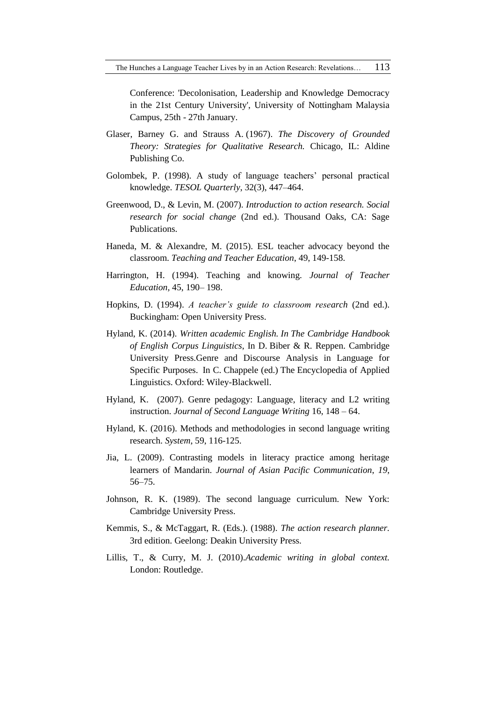Conference: 'Decolonisation, Leadership and Knowledge Democracy in the 21st Century University', University of Nottingham Malaysia Campus, 25th - 27th January.

- Glaser, Barney G. and Strauss A. (1967). *The Discovery of Grounded Theory: Strategies for Qualitative Research.* Chicago, IL: Aldine Publishing Co.
- Golombek, P. (1998). A study of language teachers' personal practical knowledge. *TESOL Quarterly*, 32(3), 447–464.
- Greenwood, D., & Levin, M. (2007). *Introduction to action research. Social research for social change* (2nd ed.). Thousand Oaks, CA: Sage Publications.
- Haneda, M. & Alexandre, M. (2015). ESL teacher advocacy beyond the classroom. *Teaching and Teacher Education*, 49, 149-158.
- Harrington, H. (1994). Teaching and knowing. *Journal of Teacher Education,* 45, 190– 198.
- Hopkins, D. (1994). *A teacher's guide to classroom research* (2nd ed.). Buckingham: Open University Press.
- Hyland, K. (2014). *Written academic English. In The Cambridge Handbook of English Corpus Linguistics*, In D. Biber & R. Reppen. Cambridge University Press.Genre and Discourse Analysis in Language for Specific Purposes. In C. Chappele (ed.) The Encyclopedia of Applied Linguistics. Oxford: Wiley-Blackwell.
- Hyland, K. (2007). Genre pedagogy: Language, literacy and L2 writing instruction. *Journal of Second Language Writing* 16, 148 – 64.
- Hyland, K. (2016). Methods and methodologies in second language writing research. *System*, 59, 116-125.
- Jia, L. (2009). Contrasting models in literacy practice among heritage learners of Mandarin. *Journal of Asian Pacific Communication*, *19*, 56–75.
- Johnson, R. K. (1989). The second language curriculum. New York: Cambridge University Press.
- Kemmis, S., & McTaggart, R. (Eds.). (1988). *The action research planner.*  3rd edition. Geelong: Deakin University Press.
- Lillis, T., & Curry, M. J. (2010).*Academic writing in global context.*  London: Routledge.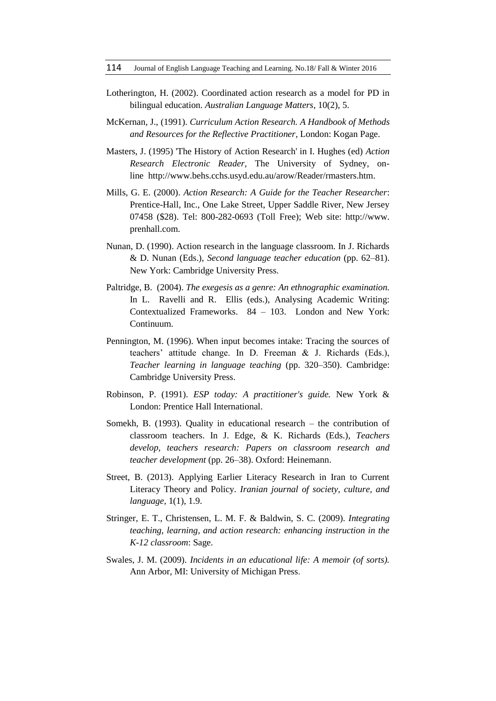- Lotherington, H. (2002). Coordinated action research as a model for PD in bilingual education. *Australian Language Matters*, 10(2), 5.
- McKernan, J., (1991). *Curriculum Action Research. A Handbook of Methods and Resources for the Reflective Practitioner*, London: Kogan Page.
- Masters, J. (1995) 'The History of Action Research' in I. Hughes (ed) *Action Research Electronic Reader,* The University of Sydney, online [http://www.behs.cchs.usyd.edu.au/arow/Reader/rmasters.htm.](http://www.behs.cchs.usyd.edu.au/arow/Reader/rmasters.htm)
- Mills, G. E. (2000). *Action Research: A Guide for the Teacher Researcher*: Prentice-Hall, Inc., One Lake Street, Upper Saddle River, New Jersey 07458 (\$28). Tel: 800-282-0693 (Toll Free); Web site: http://www. prenhall.com.
- Nunan, D. (1990). Action research in the language classroom. In J. Richards & D. Nunan (Eds.), *Second language teacher education* (pp. 62–81). New York: Cambridge University Press.
- Paltridge, B. (2004). *The exegesis as a genre: An ethnographic examination.* In L. Ravelli and R. Ellis (eds.), Analysing Academic Writing: Contextualized Frameworks. 84 – 103. London and New York: Continuum.
- Pennington, M. (1996). When input becomes intake: Tracing the sources of teachers' attitude change. In D. Freeman & J. Richards (Eds.), *Teacher learning in language teaching* (pp. 320–350). Cambridge: Cambridge University Press.
- Robinson, P. (1991). *ESP today: A practitioner's guide.* New York & London: Prentice Hall International.
- Somekh, B. (1993). Quality in educational research the contribution of classroom teachers. In J. Edge, & K. Richards (Eds.), *Teachers develop, teachers research: Papers on classroom research and teacher development* (pp. 26–38). Oxford: Heinemann.
- Street, B. (2013). Applying Earlier Literacy Research in Iran to Current Literacy Theory and Policy. *Iranian journal of society, culture, and language*, 1(1), 1.9.
- Stringer, E. T., Christensen, L. M. F. & Baldwin, S. C. (2009). *Integrating teaching, learning, and action research: enhancing instruction in the K-12 classroom*: Sage.
- Swales, J. M. (2009). *Incidents in an educational life: A memoir (of sorts).*  Ann Arbor, MI: University of Michigan Press.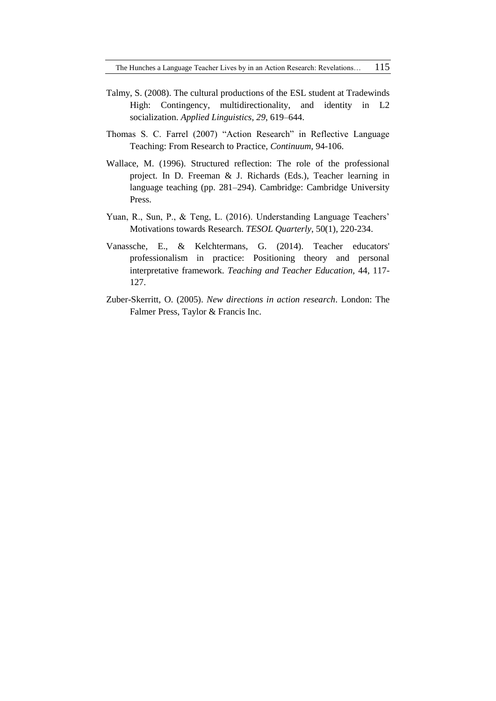- Talmy, S. (2008). The cultural productions of the ESL student at Tradewinds High: Contingency, multidirectionality, and identity in L2 socialization. *Applied Linguistics*, *29*, 619–644.
- Thomas S. C. Farrel (2007) "Action Research" in Reflective Language Teaching: From Research to Practice, *Continuum,* 94-106.
- Wallace, M. (1996). Structured reflection: The role of the professional project. In D. Freeman & J. Richards (Eds.), Teacher learning in language teaching (pp. 281–294). Cambridge: Cambridge University Press.
- Yuan, R., Sun, P., & Teng, L. (2016). Understanding Language Teachers' Motivations towards Research. *TESOL Quarterly*, 50(1), 220-234.
- Vanassche, E., & Kelchtermans, G. (2014). Teacher educators' professionalism in practice: Positioning theory and personal interpretative framework. *Teaching and Teacher Education,* 44, 117- 127.
- Zuber-Skerritt, O. (2005). *New directions in action research*. London: The Falmer Press, Taylor & Francis Inc.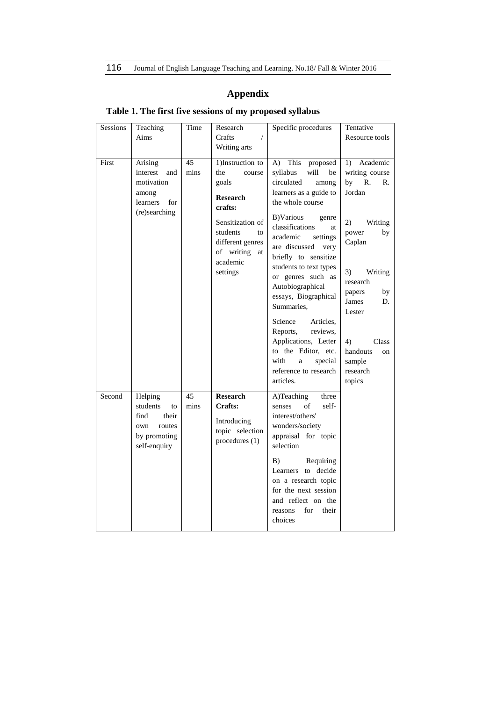# **Appendix**

# **Table 1. The first five sessions of my proposed syllabus**

| Sessions | Teaching                                                                                    | Time       | Research                                                                                                                                                                       | Specific procedures                                                                                                                                                                                                                                                                                                                                                                                                                                                                                                          | Tentative                                                                                                                                                                                                                                                   |
|----------|---------------------------------------------------------------------------------------------|------------|--------------------------------------------------------------------------------------------------------------------------------------------------------------------------------|------------------------------------------------------------------------------------------------------------------------------------------------------------------------------------------------------------------------------------------------------------------------------------------------------------------------------------------------------------------------------------------------------------------------------------------------------------------------------------------------------------------------------|-------------------------------------------------------------------------------------------------------------------------------------------------------------------------------------------------------------------------------------------------------------|
|          | Aims                                                                                        |            | Crafts                                                                                                                                                                         |                                                                                                                                                                                                                                                                                                                                                                                                                                                                                                                              | Resource tools                                                                                                                                                                                                                                              |
|          |                                                                                             |            | Writing arts                                                                                                                                                                   |                                                                                                                                                                                                                                                                                                                                                                                                                                                                                                                              |                                                                                                                                                                                                                                                             |
| First    | Arising<br>interest<br>and<br>motivation<br>among<br>for<br>learners<br>(re)searching       | 45<br>mins | 1)Instruction to<br>the<br>course<br>goals<br><b>Research</b><br>crafts:<br>Sensitization of<br>students<br>to<br>different genres<br>of writing<br>at<br>academic<br>settings | This<br>$\bf{A}$ )<br>proposed<br>syllabus<br>will<br>be<br>circulated<br>among<br>learners as a guide to<br>the whole course<br>B) Various<br>genre<br>classifications<br>at<br>academic<br>settings<br>are discussed<br>very<br>briefly to sensitize<br>students to text types<br>or genres such as<br>Autobiographical<br>essays, Biographical<br>Summaries,<br>Articles.<br>Science<br>Reports,<br>reviews.<br>Applications, Letter<br>to the Editor, etc.<br>with<br>a<br>special<br>reference to research<br>articles. | Academic<br>$\left( \right)$<br>writing course<br>R.<br>by<br>R.<br>Jordan<br>2)<br>Writing<br>power<br>by<br>Caplan<br>3)<br>Writing<br>research<br>by<br>papers<br>James<br>D.<br>Lester<br>4)<br>Class<br>handouts<br>on<br>sample<br>research<br>topics |
| Second   | Helping<br>students<br>to<br>find<br>their<br>routes<br>own<br>by promoting<br>self-enquiry | 45<br>mins | <b>Research</b><br>Crafts:<br>Introducing<br>topic selection<br>procedures (1)                                                                                                 | A)Teaching<br>three<br>self-<br>senses<br>of<br>interest/others'<br>wonders/society<br>appraisal for topic<br>selection<br>Requiring<br>B)<br>Learners to decide<br>on a research topic<br>for the next session<br>and reflect on the<br>their<br>reasons<br>for<br>choices                                                                                                                                                                                                                                                  |                                                                                                                                                                                                                                                             |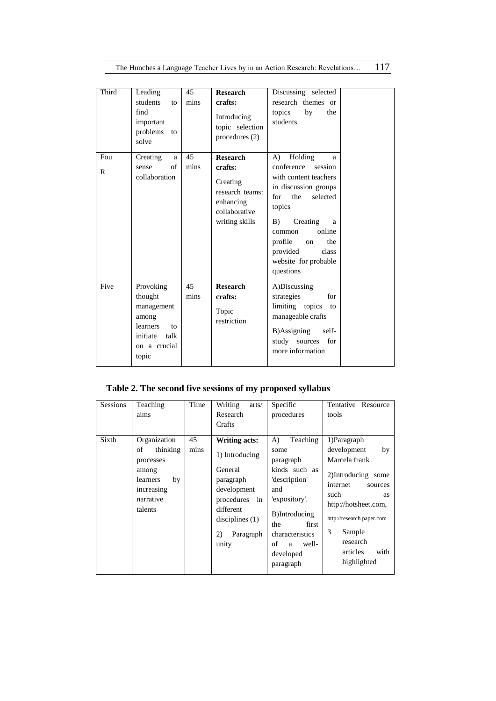| Third    | Leading<br>students<br>to<br>find<br>important<br>problems<br>to<br>solve                                  | 45<br>mins | <b>Research</b><br>crafts:<br>Introducing<br>topic selection<br>procedures (2)                            | Discussing selected<br>research themes or<br>topics<br>the<br>by<br>students                                                                                                                                                                                        |  |
|----------|------------------------------------------------------------------------------------------------------------|------------|-----------------------------------------------------------------------------------------------------------|---------------------------------------------------------------------------------------------------------------------------------------------------------------------------------------------------------------------------------------------------------------------|--|
| Fou<br>R | Creating<br>a<br>of<br>sense<br>collaboration                                                              | 45<br>mins | <b>Research</b><br>crafts:<br>Creating<br>research teams:<br>enhancing<br>collaborative<br>writing skills | Holding<br>$\bf{A}$<br>a<br>conference<br>session<br>with content teachers<br>in discussion groups<br>the<br>selected<br>for<br>topics<br>Creating<br>B)<br>a<br>online<br>common<br>profile<br>the<br>on<br>provided<br>class<br>website for probable<br>questions |  |
| Five     | Provoking<br>thought<br>management<br>among<br>learners<br>to<br>initiate<br>talk<br>on a crucial<br>topic | 45<br>mins | <b>Research</b><br>crafts:<br>Topic<br>restriction                                                        | A)Discussing<br>strategies<br>for<br>limiting topics<br>to<br>manageable crafts<br>B)Assigning<br>self-<br>for<br>study sources<br>more information                                                                                                                 |  |

# **Table 2. The second five sessions of my proposed syllabus**

| <b>Sessions</b> | Teaching<br>aims                                                                                             | Time       | Writing<br>arts/<br>Research<br>Crafts                                                                                                                          | Specific<br>procedures                                                                                                                                                                          | Tentative<br>Resource<br>tools                                                                                                                                                                                                   |
|-----------------|--------------------------------------------------------------------------------------------------------------|------------|-----------------------------------------------------------------------------------------------------------------------------------------------------------------|-------------------------------------------------------------------------------------------------------------------------------------------------------------------------------------------------|----------------------------------------------------------------------------------------------------------------------------------------------------------------------------------------------------------------------------------|
| Sixth           | Organization<br>thinking<br>of<br>processes<br>among<br>by<br>learners<br>increasing<br>narrative<br>talents | 45<br>mins | <b>Writing acts:</b><br>1) Introducing<br>General<br>paragraph<br>development<br>procedures<br>in<br>different<br>disciplines $(1)$<br>Paragraph<br>2)<br>unity | Teaching<br>A)<br>some<br>paragraph<br>kinds such as<br>'description'<br>and<br>'expository'.<br>B)Introducing<br>the<br>first<br>characteristics<br>of<br>well-<br>a<br>developed<br>paragraph | 1) Paragraph<br>development<br>by<br>Marcela frank<br>2)Introducing some<br>internet<br>sources<br>such<br>as<br>http://hotsheet.com,<br>http://research paper.com<br>3<br>Sample<br>research<br>articles<br>with<br>highlighted |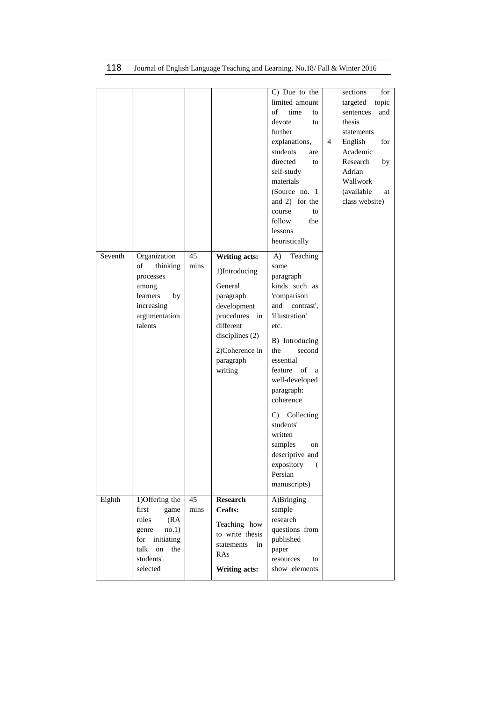| Seventh | Organization<br>of<br>thinking<br>processes<br>among<br>learners<br>by<br>increasing<br>argumentation<br>talents | 45<br>mins | <b>Writing acts:</b><br>1)Introducing<br>General<br>paragraph<br>development<br>procedures in<br>different<br>disciplines (2)<br>2)Coherence in<br>paragraph<br>writing | C) Due to the<br>limited amount<br>of<br>time<br>to<br>devote<br>to<br>further<br>explanations,<br>students<br>are<br>directed<br>to<br>self-study<br>materials<br>(Source no. 1)<br>and 2) for the<br>course<br>to<br>follow<br>the<br>lessons<br>heuristically<br>Teaching<br>A)<br>some<br>paragraph<br>kinds such as<br>'comparison<br>and<br>contrast',<br>'illustration'<br>etc.<br>B) Introducing<br>the<br>second<br>essential<br>feature of<br>a<br>well-developed<br>paragraph:<br>coherence<br>Collecting<br>$\mathcal{C}$<br>students'<br>written | $\overline{4}$ | sections<br>for<br>topic<br>targeted<br>sentences<br>and<br>thesis<br>statements<br>English<br>for<br>Academic<br>Research<br>by<br>Adrian<br>Wallwork<br>(available<br>at<br>class website) |
|---------|------------------------------------------------------------------------------------------------------------------|------------|-------------------------------------------------------------------------------------------------------------------------------------------------------------------------|---------------------------------------------------------------------------------------------------------------------------------------------------------------------------------------------------------------------------------------------------------------------------------------------------------------------------------------------------------------------------------------------------------------------------------------------------------------------------------------------------------------------------------------------------------------|----------------|----------------------------------------------------------------------------------------------------------------------------------------------------------------------------------------------|
|---------|------------------------------------------------------------------------------------------------------------------|------------|-------------------------------------------------------------------------------------------------------------------------------------------------------------------------|---------------------------------------------------------------------------------------------------------------------------------------------------------------------------------------------------------------------------------------------------------------------------------------------------------------------------------------------------------------------------------------------------------------------------------------------------------------------------------------------------------------------------------------------------------------|----------------|----------------------------------------------------------------------------------------------------------------------------------------------------------------------------------------------|

Eighth 1)Offering the

first game rules (RA genre no.1) for initiating talk on the students' selected

45 mins **Research Crafts:** 

RAs

Teaching how to write thesis statements in

**Writing acts:**

samples on descriptive and expository ( Persian manuscripts)

A)Bringing sample research questions from published paper

resources to show elements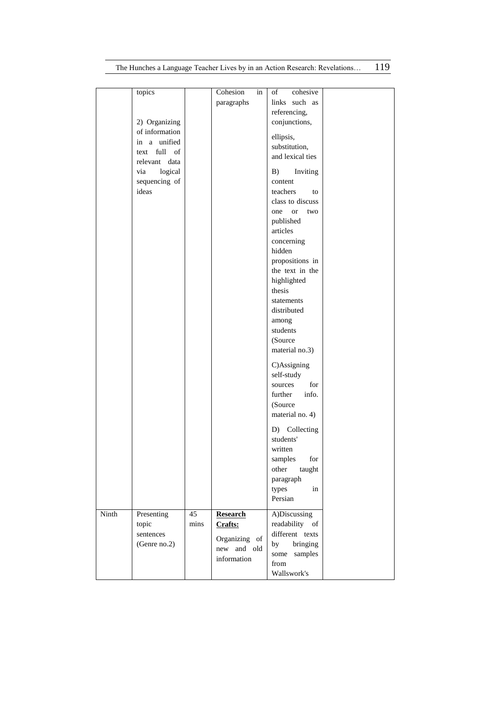|       | topics                                                             |            | Cohesion<br>paragraphs                                                    | in | of<br>cohesive<br>links such as<br>referencing,                                                               |  |
|-------|--------------------------------------------------------------------|------------|---------------------------------------------------------------------------|----|---------------------------------------------------------------------------------------------------------------|--|
|       | 2) Organizing<br>of information<br>in a unified<br>text full<br>of |            |                                                                           |    | conjunctions,<br>ellipsis,<br>substitution,<br>and lexical ties                                               |  |
|       | relevant data<br>logical<br>via<br>sequencing of<br>ideas          |            |                                                                           |    | B)<br>Inviting<br>content<br>teachers<br>to<br>class to discuss                                               |  |
|       |                                                                    |            |                                                                           |    | two<br>one<br><b>or</b><br>published<br>articles<br>concerning                                                |  |
|       |                                                                    |            |                                                                           |    | hidden<br>propositions in<br>the text in the<br>highlighted                                                   |  |
|       |                                                                    |            |                                                                           |    | thesis<br>statements<br>distributed<br>among<br>students                                                      |  |
|       |                                                                    |            |                                                                           |    | (Source<br>material no.3)                                                                                     |  |
|       |                                                                    |            |                                                                           |    | C)Assigning<br>self-study<br>for<br>sources<br>further<br>info.<br>(Source<br>material no. 4)                 |  |
|       |                                                                    |            |                                                                           |    | D) Collecting<br>students'<br>written<br>samples<br>for<br>other<br>taught                                    |  |
|       |                                                                    |            |                                                                           |    | paragraph<br>types<br>in<br>Persian                                                                           |  |
| Ninth | Presenting<br>topic<br>sentences<br>(Genre no.2)                   | 45<br>mins | <b>Research</b><br>Crafts:<br>Organizing of<br>new and old<br>information |    | A)Discussing<br>readability of<br>different texts<br>by<br>bringing<br>some<br>samples<br>from<br>Wallswork's |  |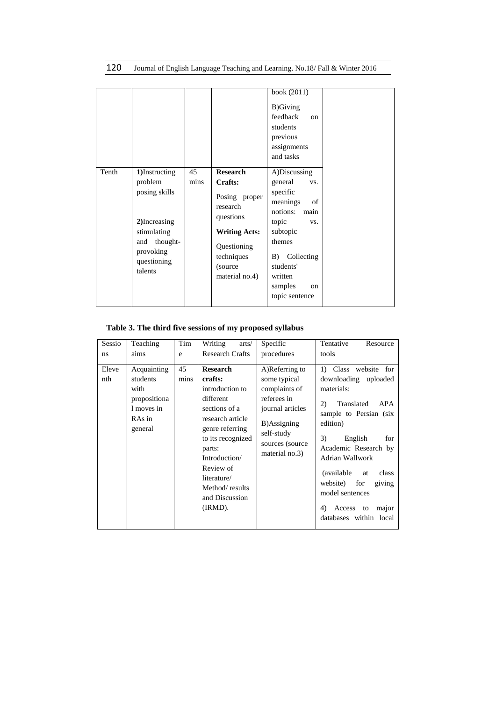120 Journal of English Language Teaching and Learning. No.18/ Fall & Winter 2016

|       |                                                                                                                                     |            |                                                                                                                                                         | book (2011)<br><b>B)Giving</b><br>feedback<br>$_{\rm on}$<br>students<br>previous<br>assignments<br>and tasks                                                                                         |  |
|-------|-------------------------------------------------------------------------------------------------------------------------------------|------------|---------------------------------------------------------------------------------------------------------------------------------------------------------|-------------------------------------------------------------------------------------------------------------------------------------------------------------------------------------------------------|--|
| Tenth | 1)Instructing<br>problem<br>posing skills<br>2) Increasing<br>stimulating<br>thought-<br>and<br>provoking<br>questioning<br>talents | 45<br>mins | <b>Research</b><br>Crafts:<br>Posing proper<br>research<br>questions<br><b>Writing Acts:</b><br>Questioning<br>techniques<br>(source)<br>material no.4) | A)Discussing<br>general<br>VS.<br>specific<br>meanings<br>of<br>notions:<br>main<br>topic<br>VS.<br>subtopic<br>themes<br>Collecting<br>B)<br>students'<br>written<br>samples<br>on<br>topic sentence |  |

## **Table 3. The third five sessions of my proposed syllabus**

| Sessio<br>ns | Teaching<br>aims                                                                   | Tim<br>e   | Writing<br>arts/<br><b>Research Crafts</b>                                                                                                                                                                                                    | Specific<br>procedures                                                                                                                                | Tentative<br>Resource<br>tools                                                                                                                                                                                                                                                                                                        |
|--------------|------------------------------------------------------------------------------------|------------|-----------------------------------------------------------------------------------------------------------------------------------------------------------------------------------------------------------------------------------------------|-------------------------------------------------------------------------------------------------------------------------------------------------------|---------------------------------------------------------------------------------------------------------------------------------------------------------------------------------------------------------------------------------------------------------------------------------------------------------------------------------------|
| Eleve<br>nth | Acquainting<br>students<br>with<br>propositiona<br>1 moves in<br>RAs in<br>general | 45<br>mins | <b>Research</b><br>crafts:<br>introduction to<br>different<br>sections of a<br>research article<br>genre referring<br>to its recognized<br>parts:<br>Introduction/<br>Review of<br>literature/<br>Method/results<br>and Discussion<br>(IRMD). | A)Referring to<br>some typical<br>complaints of<br>referees in<br>journal articles<br>B)Assigning<br>self-study<br>sources (source)<br>material no.3) | 1) Class website for<br>downloading uploaded<br>materials:<br>Translated<br>2)<br>APA<br>sample to Persian (six<br>edition)<br>3)<br>English<br>for<br>Academic Research by<br>Adrian Wallwork<br>(available)<br>class<br>at<br>for<br>website)<br>giving<br>model sentences<br>4)<br>Access<br>to<br>major<br>databases within local |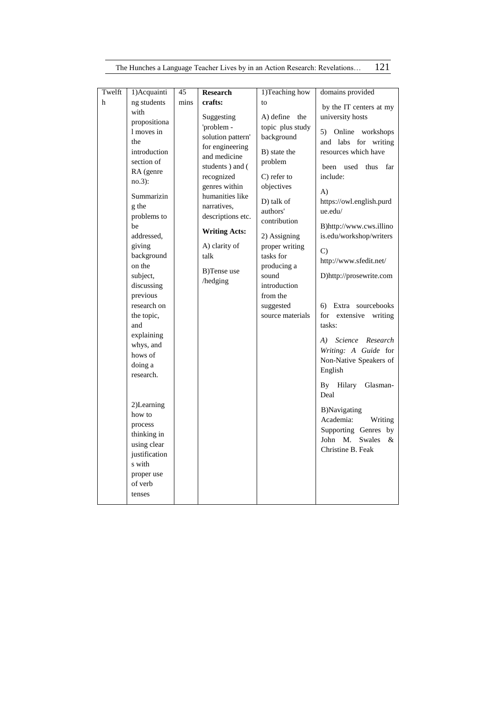| The Hunches a Language Teacher Lives by in an Action Research: Revelations |  | 121 |  |
|----------------------------------------------------------------------------|--|-----|--|
|----------------------------------------------------------------------------|--|-----|--|

| Twelft | 1) Acquainti                                                                                                                                                                                                                                                                                                                                                                                                                                               | 45   | <b>Research</b>                                                                                                                                                                                                                                                       | 1) Teaching how                                                                                                                                                                                                                                                                       | domains provided                                                                                                                                                                                                                                                                                                                                                                                                                                                                                                                                                                                                                                      |
|--------|------------------------------------------------------------------------------------------------------------------------------------------------------------------------------------------------------------------------------------------------------------------------------------------------------------------------------------------------------------------------------------------------------------------------------------------------------------|------|-----------------------------------------------------------------------------------------------------------------------------------------------------------------------------------------------------------------------------------------------------------------------|---------------------------------------------------------------------------------------------------------------------------------------------------------------------------------------------------------------------------------------------------------------------------------------|-------------------------------------------------------------------------------------------------------------------------------------------------------------------------------------------------------------------------------------------------------------------------------------------------------------------------------------------------------------------------------------------------------------------------------------------------------------------------------------------------------------------------------------------------------------------------------------------------------------------------------------------------------|
| h      | ng students                                                                                                                                                                                                                                                                                                                                                                                                                                                | mins | crafts:                                                                                                                                                                                                                                                               | to                                                                                                                                                                                                                                                                                    |                                                                                                                                                                                                                                                                                                                                                                                                                                                                                                                                                                                                                                                       |
|        | with<br>propositiona<br>1 moves in<br>the<br>introduction<br>section of<br>RA (genre<br>$no.3)$ :<br>Summarizin<br>g the<br>problems to<br>be<br>addressed,<br>giving<br>background<br>on the<br>subject,<br>discussing<br>previous<br>research on<br>the topic,<br>and<br>explaining<br>whys, and<br>hows of<br>doing a<br>research.<br>2)Learning<br>how to<br>process<br>thinking in<br>using clear<br>justification<br>s with<br>proper use<br>of verb |      | Suggesting<br>'problem -<br>solution pattern'<br>for engineering<br>and medicine<br>students) and (<br>recognized<br>genres within<br>humanities like<br>narratives,<br>descriptions etc.<br><b>Writing Acts:</b><br>A) clarity of<br>talk<br>B)Tense use<br>/hedging | A) define the<br>topic plus study<br>background<br>B) state the<br>problem<br>C) refer to<br>objectives<br>D) talk of<br>authors'<br>contribution<br>2) Assigning<br>proper writing<br>tasks for<br>producing a<br>sound<br>introduction<br>from the<br>suggested<br>source materials | by the IT centers at my<br>university hosts<br>Online workshops<br>5)<br>and labs for writing<br>resources which have<br>used<br>thus<br>far<br>been<br>include:<br>A)<br>https://owl.english.purd<br>ue.edu/<br>B)http://www.cws.illino<br>is.edu/workshop/writers<br>$\mathcal{C}$<br>http://www.sfedit.net/<br>D)http://prosewrite.com<br>6) Extra sourcebooks<br>for extensive<br>writing<br>tasks:<br>A) Science Research<br>Writing: A Guide for<br>Non-Native Speakers of<br>English<br>By Hilary<br>Glasman-<br>Deal<br>B)Navigating<br>Academia:<br>Writing<br>Supporting Genres by<br>John M.<br><b>Swales</b><br>$\&$<br>Christine B. Feak |
|        | tenses                                                                                                                                                                                                                                                                                                                                                                                                                                                     |      |                                                                                                                                                                                                                                                                       |                                                                                                                                                                                                                                                                                       |                                                                                                                                                                                                                                                                                                                                                                                                                                                                                                                                                                                                                                                       |